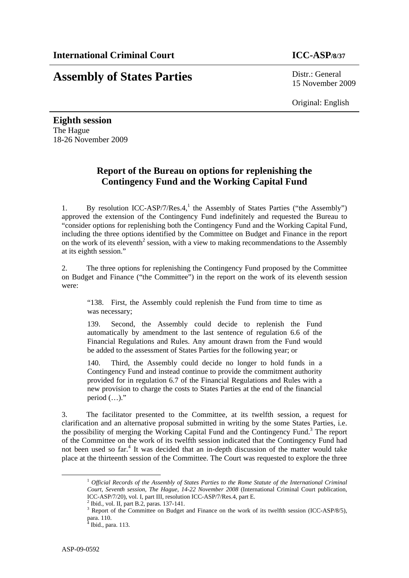## **Assembly of States Parties** Distr.: General

15 November 2009

Original: English

**Eighth session**  The Hague 18-26 November 2009

## **Report of the Bureau on options for replenishing the Contingency Fund and the Working Capital Fund**

1. By resolution ICC-ASP/7/Res.4,<sup>1</sup> the Assembly of States Parties ("the Assembly") approved the extension of the Contingency Fund indefinitely and requested the Bureau to "consider options for replenishing both the Contingency Fund and the Working Capital Fund, including the three options identified by the Committee on Budget and Finance in the report on the work of its eleventh<sup>2</sup> session, with a view to making recommendations to the Assembly at its eighth session."

2. The three options for replenishing the Contingency Fund proposed by the Committee on Budget and Finance ("the Committee") in the report on the work of its eleventh session were:

"138. First, the Assembly could replenish the Fund from time to time as was necessary;

139. Second, the Assembly could decide to replenish the Fund automatically by amendment to the last sentence of regulation 6.6 of the Financial Regulations and Rules. Any amount drawn from the Fund would be added to the assessment of States Parties for the following year; or

140. Third, the Assembly could decide no longer to hold funds in a Contingency Fund and instead continue to provide the commitment authority provided for in regulation 6.7 of the Financial Regulations and Rules with a new provision to charge the costs to States Parties at the end of the financial period  $(\ldots)$ ."

3. The facilitator presented to the Committee, at its twelfth session, a request for clarification and an alternative proposal submitted in writing by the some States Parties, i.e. the possibility of merging the Working Capital Fund and the Contingency Fund.<sup>3</sup> The report of the Committee on the work of its twelfth session indicated that the Contingency Fund had not been used so far.<sup>4</sup> It was decided that an in-depth discussion of the matter would take place at the thirteenth session of the Committee. The Court was requested to explore the three

 <sup>1</sup> *Official Records of the Assembly of States Parties to the Rome Statute of the International Criminal Court, Seventh session, The Hague, 14-22 November 2008* (International Criminal Court publication, ICC-ASP/7/20), vol. I, part III, resolution ICC-ASP/7/Res.4, part E.

Ibid., vol. II, part B.2, paras. 137-141.

 $3$  Report of the Committee on Budget and Finance on the work of its twelfth session (ICC-ASP/8/5), para. 110.

<sup>&</sup>lt;sup>4</sup> Ibid., para. 113.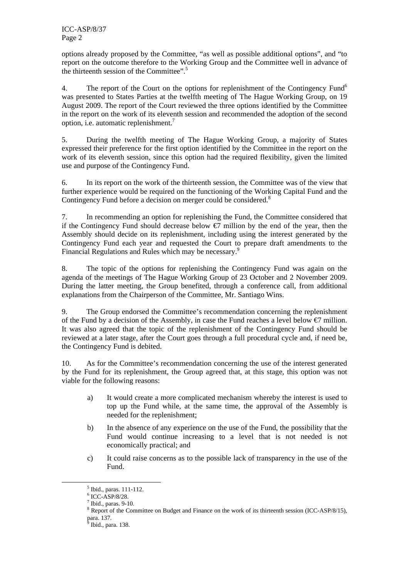options already proposed by the Committee, "as well as possible additional options", and "to report on the outcome therefore to the Working Group and the Committee well in advance of the thirteenth session of the Committee".<sup>5</sup>

4. The report of the Court on the options for replenishment of the Contingency Fund<sup>6</sup> was presented to States Parties at the twelfth meeting of The Hague Working Group, on 19 August 2009. The report of the Court reviewed the three options identified by the Committee in the report on the work of its eleventh session and recommended the adoption of the second option, i.e. automatic replenishment.7

5. During the twelfth meeting of The Hague Working Group, a majority of States expressed their preference for the first option identified by the Committee in the report on the work of its eleventh session, since this option had the required flexibility, given the limited use and purpose of the Contingency Fund.

6. In its report on the work of the thirteenth session, the Committee was of the view that further experience would be required on the functioning of the Working Capital Fund and the Contingency Fund before a decision on merger could be considered.<sup>8</sup>

7. In recommending an option for replenishing the Fund, the Committee considered that if the Contingency Fund should decrease below  $\epsilon$  million by the end of the year, then the Assembly should decide on its replenishment, including using the interest generated by the Contingency Fund each year and requested the Court to prepare draft amendments to the Financial Regulations and Rules which may be necessary.<sup>5</sup>

8. The topic of the options for replenishing the Contingency Fund was again on the agenda of the meetings of The Hague Working Group of 23 October and 2 November 2009. During the latter meeting, the Group benefited, through a conference call, from additional explanations from the Chairperson of the Committee, Mr. Santiago Wins.

9. The Group endorsed the Committee's recommendation concerning the replenishment of the Fund by a decision of the Assembly, in case the Fund reaches a level below  $\epsilon$  million. It was also agreed that the topic of the replenishment of the Contingency Fund should be reviewed at a later stage, after the Court goes through a full procedural cycle and, if need be, the Contingency Fund is debited.

10. As for the Committee's recommendation concerning the use of the interest generated by the Fund for its replenishment, the Group agreed that, at this stage, this option was not viable for the following reasons:

- a) It would create a more complicated mechanism whereby the interest is used to top up the Fund while, at the same time, the approval of the Assembly is needed for the replenishment;
- b) In the absence of any experience on the use of the Fund, the possibility that the Fund would continue increasing to a level that is not needed is not economically practical; and
- c) It could raise concerns as to the possible lack of transparency in the use of the Fund.

 $\frac{1}{5}$  $<sup>5</sup>$  Ibid., paras. 111-112.</sup>

<sup>6</sup> ICC-ASP/8/28.

 $<sup>7</sup>$  Ibid., paras. 9-10.</sup>

<sup>&</sup>lt;sup>8</sup> Report of the Committee on Budget and Finance on the work of its thirteenth session (ICC-ASP/8/15), para. 137.<br><sup>9</sup> Ibid. par

 $<sup>9</sup>$  Ibid., para. 138.</sup>